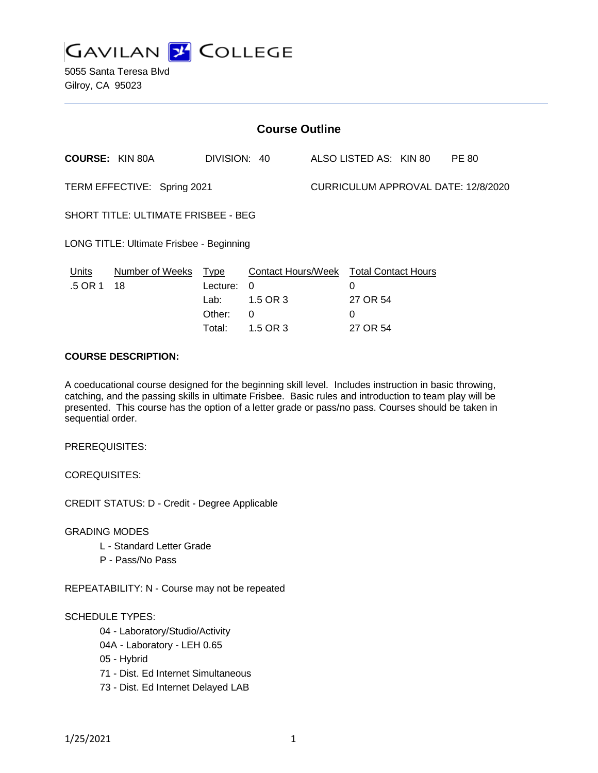

5055 Santa Teresa Blvd Gilroy, CA 95023

| <b>Course Outline</b>                    |                        |                                           |                                                 |                                     |                                                  |  |              |
|------------------------------------------|------------------------|-------------------------------------------|-------------------------------------------------|-------------------------------------|--------------------------------------------------|--|--------------|
|                                          | <b>COURSE: KIN 80A</b> | DIVISION: 40                              |                                                 |                                     | ALSO LISTED AS: KIN 80                           |  | <b>PE 80</b> |
| TERM EFFECTIVE: Spring 2021              |                        |                                           |                                                 | CURRICULUM APPROVAL DATE: 12/8/2020 |                                                  |  |              |
| SHORT TITLE: ULTIMATE FRISBEE - BEG      |                        |                                           |                                                 |                                     |                                                  |  |              |
| LONG TITLE: Ultimate Frisbee - Beginning |                        |                                           |                                                 |                                     |                                                  |  |              |
| <b>Units</b><br>.5 OR 1                  | Number of Weeks<br>18  | <b>Type</b><br>Lecture:<br>Lab:<br>Other: | <b>Contact Hours/Week</b><br>0<br>1.5 OR 3<br>0 |                                     | <b>Total Contact Hours</b><br>0<br>27 OR 54<br>0 |  |              |
|                                          |                        | Total:                                    | 1.5 OR 3                                        |                                     | 27 OR 54                                         |  |              |

#### **COURSE DESCRIPTION:**

A coeducational course designed for the beginning skill level. Includes instruction in basic throwing, catching, and the passing skills in ultimate Frisbee. Basic rules and introduction to team play will be presented. This course has the option of a letter grade or pass/no pass. Courses should be taken in sequential order.

PREREQUISITES:

COREQUISITES:

CREDIT STATUS: D - Credit - Degree Applicable

GRADING MODES

- L Standard Letter Grade
- P Pass/No Pass

REPEATABILITY: N - Course may not be repeated

SCHEDULE TYPES:

- 04 Laboratory/Studio/Activity
- 04A Laboratory LEH 0.65
- 05 Hybrid
- 71 Dist. Ed Internet Simultaneous
- 73 Dist. Ed Internet Delayed LAB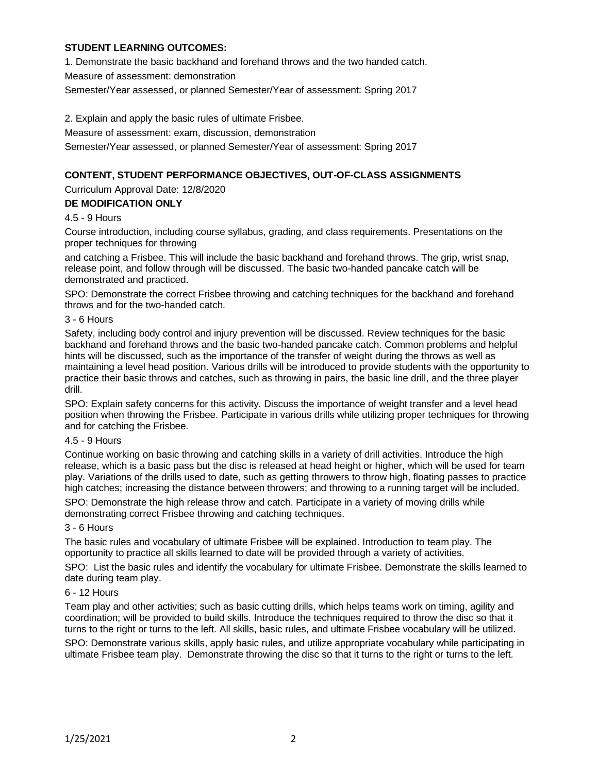### **STUDENT LEARNING OUTCOMES:**

1. Demonstrate the basic backhand and forehand throws and the two handed catch.

Measure of assessment: demonstration

Semester/Year assessed, or planned Semester/Year of assessment: Spring 2017

2. Explain and apply the basic rules of ultimate Frisbee.

Measure of assessment: exam, discussion, demonstration

Semester/Year assessed, or planned Semester/Year of assessment: Spring 2017

# **CONTENT, STUDENT PERFORMANCE OBJECTIVES, OUT-OF-CLASS ASSIGNMENTS**

Curriculum Approval Date: 12/8/2020

## **DE MODIFICATION ONLY**

### 4.5 - 9 Hours

Course introduction, including course syllabus, grading, and class requirements. Presentations on the proper techniques for throwing

and catching a Frisbee. This will include the basic backhand and forehand throws. The grip, wrist snap, release point, and follow through will be discussed. The basic two-handed pancake catch will be demonstrated and practiced.

SPO: Demonstrate the correct Frisbee throwing and catching techniques for the backhand and forehand throws and for the two-handed catch.

### 3 - 6 Hours

Safety, including body control and injury prevention will be discussed. Review techniques for the basic backhand and forehand throws and the basic two-handed pancake catch. Common problems and helpful hints will be discussed, such as the importance of the transfer of weight during the throws as well as maintaining a level head position. Various drills will be introduced to provide students with the opportunity to practice their basic throws and catches, such as throwing in pairs, the basic line drill, and the three player drill.

SPO: Explain safety concerns for this activity. Discuss the importance of weight transfer and a level head position when throwing the Frisbee. Participate in various drills while utilizing proper techniques for throwing and for catching the Frisbee.

### 4.5 - 9 Hours

Continue working on basic throwing and catching skills in a variety of drill activities. Introduce the high release, which is a basic pass but the disc is released at head height or higher, which will be used for team play. Variations of the drills used to date, such as getting throwers to throw high, floating passes to practice high catches; increasing the distance between throwers; and throwing to a running target will be included.

SPO: Demonstrate the high release throw and catch. Participate in a variety of moving drills while demonstrating correct Frisbee throwing and catching techniques.

### 3 - 6 Hours

The basic rules and vocabulary of ultimate Frisbee will be explained. Introduction to team play. The opportunity to practice all skills learned to date will be provided through a variety of activities.

SPO: List the basic rules and identify the vocabulary for ultimate Frisbee. Demonstrate the skills learned to date during team play.

### 6 - 12 Hours

Team play and other activities; such as basic cutting drills, which helps teams work on timing, agility and coordination; will be provided to build skills. Introduce the techniques required to throw the disc so that it turns to the right or turns to the left. All skills, basic rules, and ultimate Frisbee vocabulary will be utilized.

SPO: Demonstrate various skills, apply basic rules, and utilize appropriate vocabulary while participating in ultimate Frisbee team play. Demonstrate throwing the disc so that it turns to the right or turns to the left.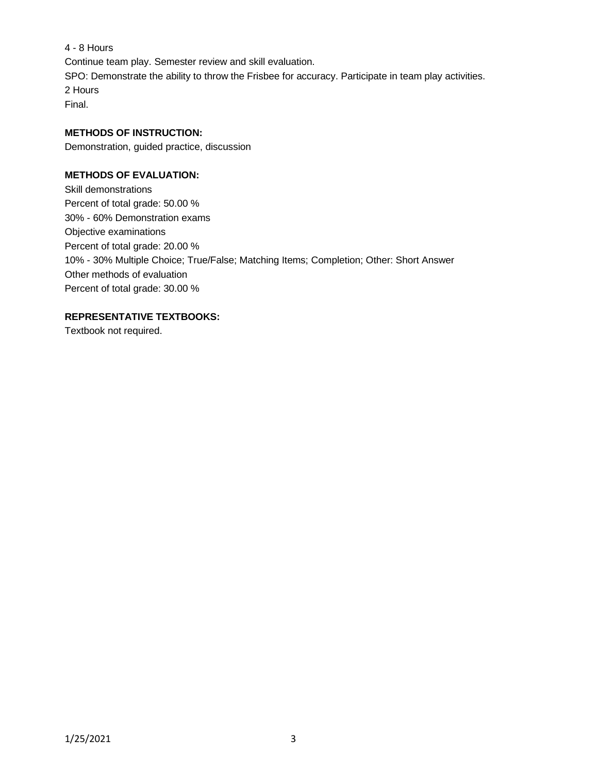4 - 8 Hours Continue team play. Semester review and skill evaluation. SPO: Demonstrate the ability to throw the Frisbee for accuracy. Participate in team play activities. 2 Hours Final.

## **METHODS OF INSTRUCTION:**

Demonstration, guided practice, discussion

## **METHODS OF EVALUATION:**

Skill demonstrations Percent of total grade: 50.00 % 30% - 60% Demonstration exams Objective examinations Percent of total grade: 20.00 % 10% - 30% Multiple Choice; True/False; Matching Items; Completion; Other: Short Answer Other methods of evaluation Percent of total grade: 30.00 %

## **REPRESENTATIVE TEXTBOOKS:**

Textbook not required.